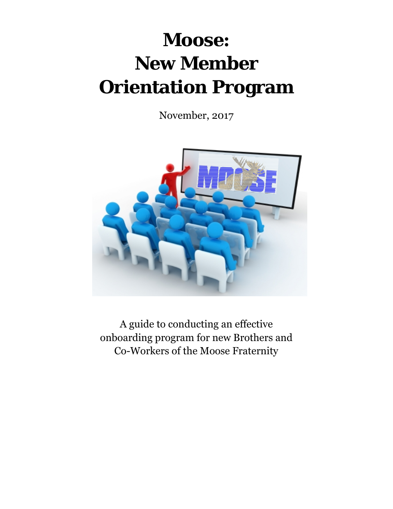# **Moose: New Member Orientation Program**

November, 2017



A guide to conducting an effective onboarding program for new Brothers and Co-Workers of the Moose Fraternity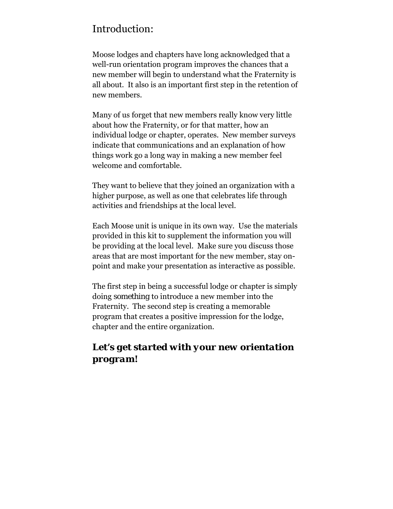# Introduction:

Moose lodges and chapters have long acknowledged that a well-run orientation program improves the chances that a new member will begin to understand what the Fraternity is all about. It also is an important first step in the retention of new members.

Many of us forget that new members really know very little about how the Fraternity, or for that matter, how an individual lodge or chapter, operates. New member surveys indicate that communications and an explanation of how things work go a long way in making a new member feel welcome and comfortable.

They want to believe that they joined an organization with a higher purpose, as well as one that celebrates life through activities and friendships at the local level.

Each Moose unit is unique in its own way. Use the materials provided in this kit to supplement the information you will be providing at the local level. Make sure you discuss those areas that are most important for the new member, stay onpoint and make your presentation as interactive as possible.

The first step in being a successful lodge or chapter is simply doing *something* to introduce a new member into the Fraternity. The second step is creating a memorable program that creates a positive impression for the lodge, chapter and the entire organization.

# *Let's get started with your new orientation program!*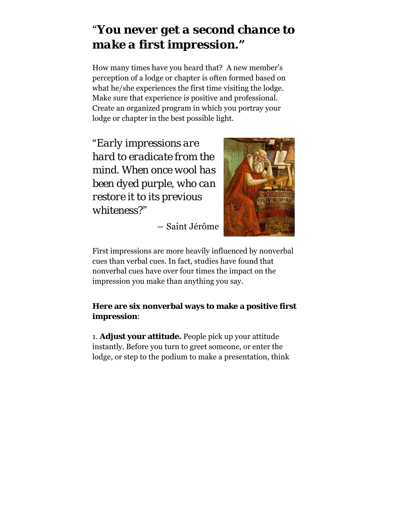# "*You never get a second chance to make a first impression***."**

How many times have you heard that? A new member's perception of a lodge or chapter is often formed based on what he/she experiences the first time visiting the lodge. Make sure that experience is positive and professional. Create an organized program in which you portray your lodge or chapter in the best possible light.

"*Early impressions are hard to eradicate from the mind. When once wool has been dyed purple, who can restore it to its previous whiteness?*"



― Saint Jérôme

First impressions are more heavily influenced by nonverbal cues than verbal cues. In fact, studies have found that nonverbal cues have over four times the impact on the impression you make than anything you say.

#### **Here are six nonverbal ways to make a positive first impression**:

1. **Adjust your attitude.** People pick up your attitude instantly. Before you turn to greet someone, or enter the lodge, or step to the podium to make a presentation, think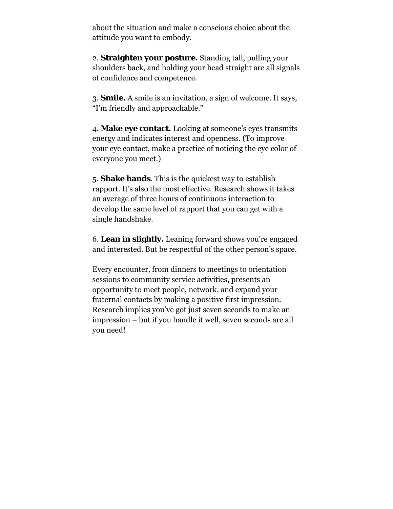about the situation and make a conscious choice about the attitude you want to embody.

2. **Straighten your posture.** Standing tall, pulling your shoulders back, and holding your head straight are all signals of confidence and competence.

3. **Smile.** A smile is an invitation, a sign of welcome. It says, "I'm friendly and approachable."

4. **Make eye contact.** Looking at someone's eyes transmits energy and indicates interest and openness. (To improve your eye contact, make a practice of noticing the eye color of everyone you meet.)

5. **Shake hands**. This is the quickest way to establish rapport. It's also the most effective. Research shows it takes an average of three hours of continuous interaction to develop the same level of rapport that you can get with a single handshake.

6. **Lean in slightly.** Leaning forward shows you're engaged and interested. But be respectful of the other person's space.

Every encounter, from dinners to meetings to orientation sessions to community service activities, presents an opportunity to meet people, network, and expand your fraternal contacts by making a positive first impression. Research implies you've got just seven seconds to make an impression – but if you handle it well, seven seconds are all you need!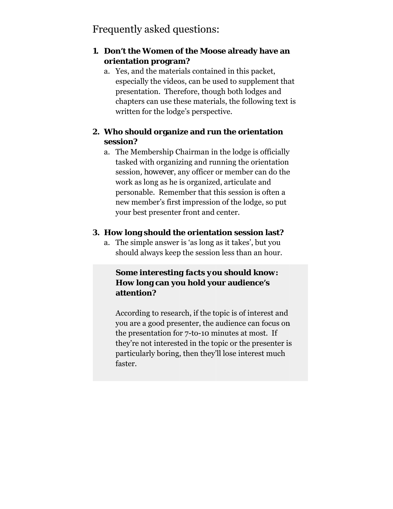# Frequently asked questions:

#### 1. Don't the Women of the Moose already have an orientation program?

a. Yes, and the materials contained in this packet, especially the videos, can be used to supplement that presentation. Therefore, though both lodges and chapters can use these materials, the following text is written for the lodge's perspective.

# 2. Who should organize and run the orientation session?

a. The Membership Chairman in the lodge is officially tasked with organizing and running the orientation session, however, any officer or member can do the work as long as he is organized, articulate and personable. Remember that this session is often a new member's first impression of the lodge, so put your best presenter front and center.

# 3. How long should the orientation session last?

a. The simple answer is 'as long as it takes', but you should always keep the session less than an hour.

### **Some interesting facts you should know:** How long can you hold your audience's attention?

According to research, if the topic is of interest and you are a good presenter, the audience can focus on the presentation for 7-to-10 minutes at most. If they're not interested in the topic or the presenter is particularly boring, then they'll lose interest much faster.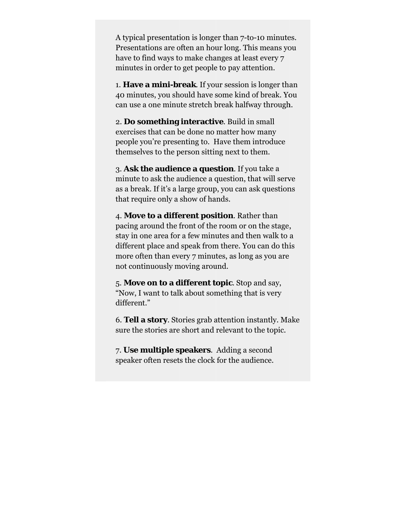A typical presentation is longer than 7-to-10 minutes. Presentations are often an hour long. This means you have to find ways to make changes at least every 7 minutes in order to get people to pay attention.

1. **Have a mini-break**. If your session is longer than 40 minutes, you should have some kind of break. You can use a one minute stretch break halfway through.

2. Do something interactive. Build in small exercises that can be done no matter how many people you're presenting to. Have them introduce themselves to the person sitting next to them.

3. **Ask t the audien nce a ques stion**. If yo u take a minute to ask the audience a question, that will serve as a break. If it's a large group, you can ask questions that require only a show of hands.

4. **Move to a different position**. Rather than pacing around the front of the room or on the stage, stay in one area for a few minutes and then walk to a different place and speak from there. You can do this more often than every 7 minutes, as long as you are not continuously moving around.

5. **Move on to a different topic**. Stop and say, "Now, I want to talk about something that is very different."

6. Tell a story. Stories grab attention instantly. Make sure the stories are short and relevant to the topic.

7. Use multiple speakers. Adding a second speaker often resets the clock for the audience.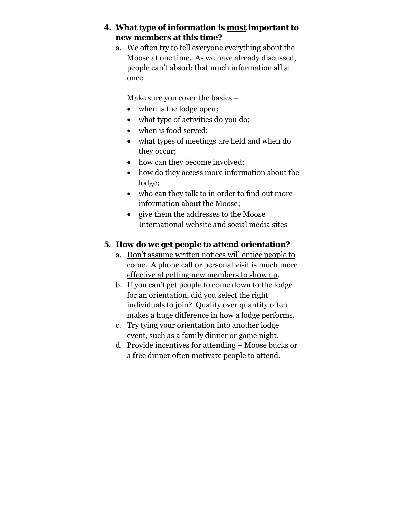#### **4. What type of information is most important to new members at this time?**

a. We often try to tell everyone everything about the Moose at one time. As we have already discussed, people can't absorb that much information all at once.

Make sure you cover the basics –

- when is the lodge open;
- what type of activities do you do;
- when is food served;
- what types of meetings are held and when do they occur;
- how can they become involved;
- how do they access more information about the lodge;
- who can they talk to in order to find out more information about the Moose;
- give them the addresses to the Moose International website and social media sites

#### **5. How do we get people to attend orientation?**

- a. Don't assume written notices will entice people to come. A phone call or personal visit is much more effective at getting new members to show up.
- b. If you can't get people to come down to the lodge for an orientation, did you select the right individuals to join? Quality over quantity often makes a huge difference in how a lodge performs.
- c. Try tying your orientation into another lodge event, such as a family dinner or game night.
- d. Provide incentives for attending Moose bucks or a free dinner often motivate people to attend.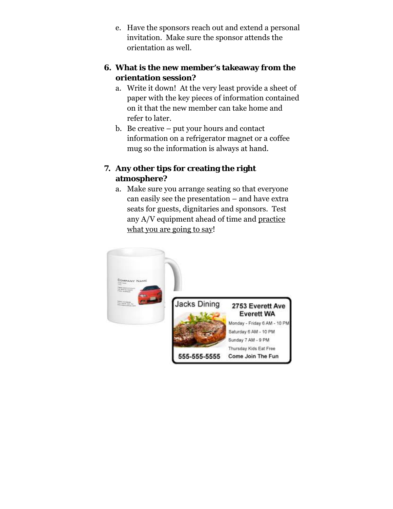e. Have the sponsors reach out and extend a personal invitation. Make sure the sponsor attends the orientation as well.

#### **6. What is the new member's takeaway from the orientation session?**

- a. Write it down! At the very least provide a sheet of paper with the key pieces of information contained on it that the new member can take home and refer to later.
- b. Be creative put your hours and contact information on a refrigerator magnet or a coffee mug so the information is always at hand.

# **7. Any other tips for creating the right atmosphere?**

a. Make sure you arrange seating so that everyone can easily see the presentation – and have extra seats for guests, dignitaries and sponsors. Test any A/V equipment ahead of time and practice what you are going to say!

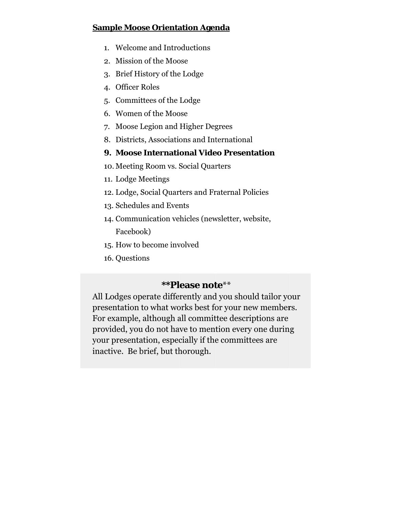#### **Sample Moose Orientation Agenda**

- 1. Welcome and Introductions
- 2. Mission of the Moose
- 3. Brief History of the Lodge
- 4. Officer Roles
- 5. Committees of the Lodge
- 6. Women of the Moose
- 7. Moose Legion and Higher Degrees
- 8. Districts, Associations and International

#### 9. Moose International Video Presentation

- 10. Meeting Room vs. Social Quarters
- 11. Lodge Meetings
- 12. Lodge, Social Quarters and Fraternal Policies
- 13. Schedules and Events
- 14. Communication vehicles (newsletter, website, Facebook)
- 15. How to become involved
- 16. Questions

# \*\*Please note\*\*

All Lodges operate differently and you should tailor your presentation to what works best for your new members. For example, although all committee descriptions are provided, you do not have to mention every one during your presentation, especially if the committees are inactive. Be brief, but thorough.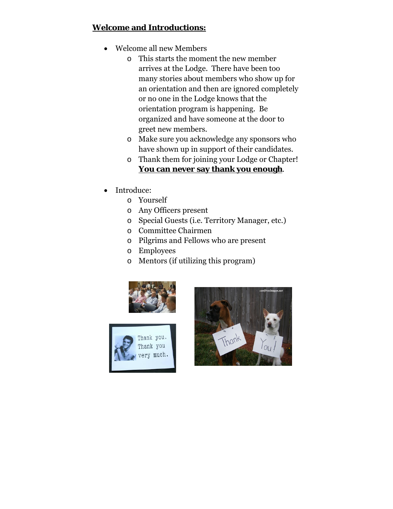# **Welcome and Introductions:**

- Welcome all new Members
	- o This starts the moment the new member arrives at the Lodge. There have been too many stories about members who show up for an orientation and then are ignored completely or no one in the Lodge knows that the orientation program is happening. Be organized and have someone at the door to greet new members.
	- o Make sure you acknowledge any sponsors who have shown up in support of their candidates.
	- o Thank them for joining your Lodge or Chapter! **You can never say thank you enough**.
- Introduce:
	- o Yourself
	- o Any Officers present
	- o Special Guests (i.e. Territory Manager, etc.)
	- o Committee Chairmen
	- o Pilgrims and Fellows who are present
	- o Employees
	- o Mentors (if utilizing this program)





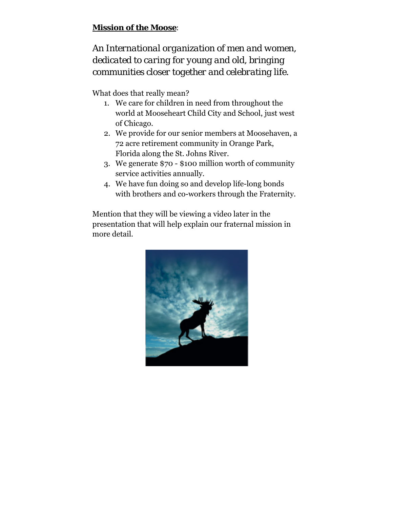#### **Mission of the Moose**:

*An International organization of men and women, dedicated to caring for young and old, bringing communities closer together and celebrating life.* 

What does that really mean?

- 1. We care for children in need from throughout the world at Mooseheart Child City and School, just west of Chicago.
- 2. We provide for our senior members at Moosehaven, a 72 acre retirement community in Orange Park, Florida along the St. Johns River.
- 3. We generate \$70 \$100 million worth of community service activities annually.
- 4. We have fun doing so and develop life-long bonds with brothers and co-workers through the Fraternity.

Mention that they will be viewing a video later in the presentation that will help explain our fraternal mission in more detail.

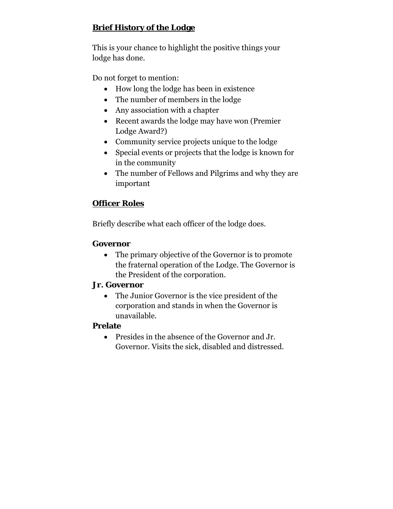# **Brief History of the Lodge**

This is your chance to highlight the positive things your lodge has done.

Do not forget to mention:

- How long the lodge has been in existence
- The number of members in the lodge
- Any association with a chapter
- Recent awards the lodge may have won (Premier Lodge Award?)
- Community service projects unique to the lodge
- Special events or projects that the lodge is known for in the community
- The number of Fellows and Pilgrims and why they are important

# **Officer Roles**

Briefly describe what each officer of the lodge does.

#### **Governor**

• The primary objective of the Governor is to promote the fraternal operation of the Lodge. The Governor is the President of the corporation.

#### **Jr. Governor**

 The Junior Governor is the vice president of the corporation and stands in when the Governor is unavailable.

#### **Prelate**

 Presides in the absence of the Governor and Jr. Governor. Visits the sick, disabled and distressed.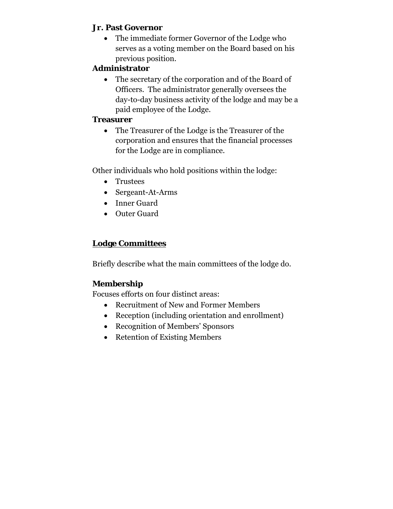#### **Jr. Past Governor**

 The immediate former Governor of the Lodge who serves as a voting member on the Board based on his previous position.

#### **Administrator**

 The secretary of the corporation and of the Board of Officers. The administrator generally oversees the day-to-day business activity of the lodge and may be a paid employee of the Lodge.

#### **Treasurer**

 The Treasurer of the Lodge is the Treasurer of the corporation and ensures that the financial processes for the Lodge are in compliance.

Other individuals who hold positions within the lodge:

- Trustees
- Sergeant-At-Arms
- Inner Guard
- Outer Guard

# **Lodge Committees**

Briefly describe what the main committees of the lodge do.

# **Membership**

Focuses efforts on four distinct areas:

- Recruitment of New and Former Members
- Reception (including orientation and enrollment)
- Recognition of Members' Sponsors
- Retention of Existing Members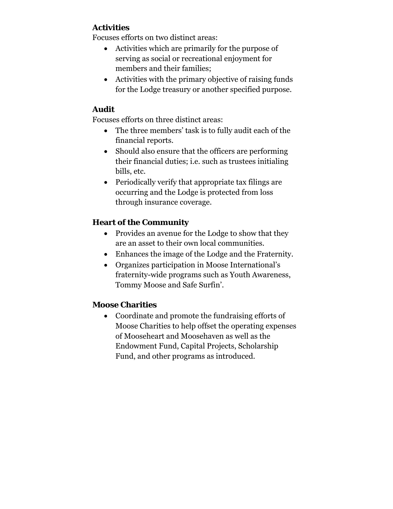#### **Activities**

Focuses efforts on two distinct areas:

- Activities which are primarily for the purpose of serving as social or recreational enjoyment for members and their families;
- Activities with the primary objective of raising funds for the Lodge treasury or another specified purpose.

#### **Audit**

Focuses efforts on three distinct areas:

- The three members' task is to fully audit each of the financial reports.
- Should also ensure that the officers are performing their financial duties; i.e. such as trustees initialing bills, etc.
- Periodically verify that appropriate tax filings are occurring and the Lodge is protected from loss through insurance coverage.

## **Heart of the Community**

- Provides an avenue for the Lodge to show that they are an asset to their own local communities.
- Enhances the image of the Lodge and the Fraternity.
- Organizes participation in Moose International's fraternity-wide programs such as Youth Awareness, Tommy Moose and Safe Surfin'.

#### **Moose Charities**

 Coordinate and promote the fundraising efforts of Moose Charities to help offset the operating expenses of Mooseheart and Moosehaven as well as the Endowment Fund, Capital Projects, Scholarship Fund, and other programs as introduced.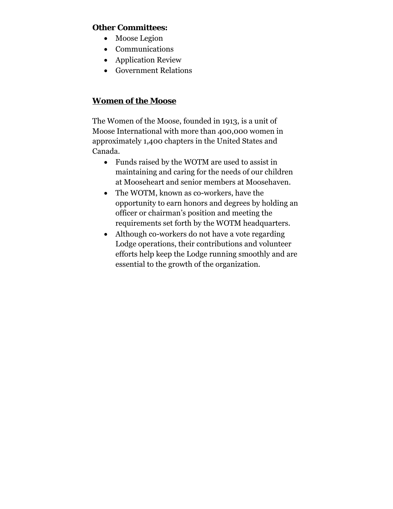#### **Other Committees:**

- Moose Legion
- Communications
- Application Review
- Government Relations

#### **Women of the Moose**

The Women of the Moose, founded in 1913, is a unit of Moose International with more than 400,000 women in approximately 1,400 chapters in the United States and Canada.

- Funds raised by the WOTM are used to assist in maintaining and caring for the needs of our children at Mooseheart and senior members at Moosehaven.
- The WOTM, known as co-workers, have the opportunity to earn honors and degrees by holding an officer or chairman's position and meeting the requirements set forth by the WOTM headquarters.
- Although co-workers do not have a vote regarding Lodge operations, their contributions and volunteer efforts help keep the Lodge running smoothly and are essential to the growth of the organization.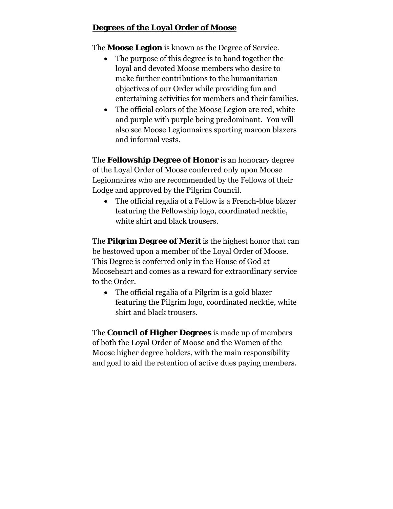#### **Degrees of the Loyal Order of Moose**

The **Moose Legion** is known as the Degree of Service.

- The purpose of this degree is to band together the loyal and devoted Moose members who desire to make further contributions to the humanitarian objectives of our Order while providing fun and entertaining activities for members and their families.
- The official colors of the Moose Legion are red, white and purple with purple being predominant. You will also see Moose Legionnaires sporting maroon blazers and informal vests.

The **Fellowship Degree of Honor** is an honorary degree of the Loyal Order of Moose conferred only upon Moose Legionnaires who are recommended by the Fellows of their Lodge and approved by the Pilgrim Council.

 The official regalia of a Fellow is a French-blue blazer featuring the Fellowship logo, coordinated necktie, white shirt and black trousers.

The **Pilgrim Degree of Merit** is the highest honor that can be bestowed upon a member of the Loyal Order of Moose. This Degree is conferred only in the House of God at Mooseheart and comes as a reward for extraordinary service to the Order.

 The official regalia of a Pilgrim is a gold blazer featuring the Pilgrim logo, coordinated necktie, white shirt and black trousers.

The **Council of Higher Degrees** is made up of members of both the Loyal Order of Moose and the Women of the Moose higher degree holders, with the main responsibility and goal to aid the retention of active dues paying members.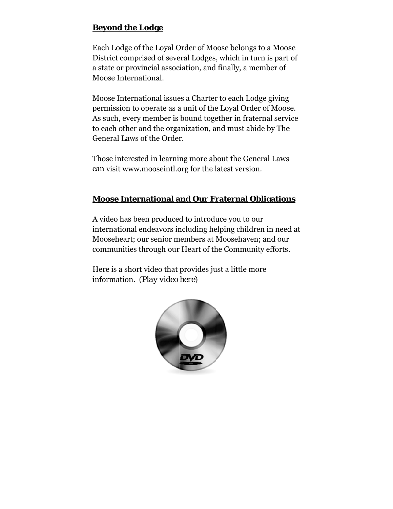#### **Beyond the Lodge**

Each Lodge of the Loyal Order of Moose belongs to a Moose District comprised of several Lodges, which in turn is part of a state or provincial association, and finally, a member of Moose International.

Moose International issues a Charter to each Lodge giving permission to operate as a unit of the Loyal Order of Moose. As such, every member is bound together in fraternal service to each other and the organization, and must abide by The General Laws of the Order.

Those interested in learning more about the General Laws can visit www.mooseintl.org for the latest version.

#### **Moose International and Our Fraternal Obligations**

A video has been produced to introduce you to our international endeavors including helping children in need at Mooseheart; our senior members at Moosehaven; and our communities through our Heart of the Community efforts.

Here is a short video that provides just a little more information. (*Play video here*)

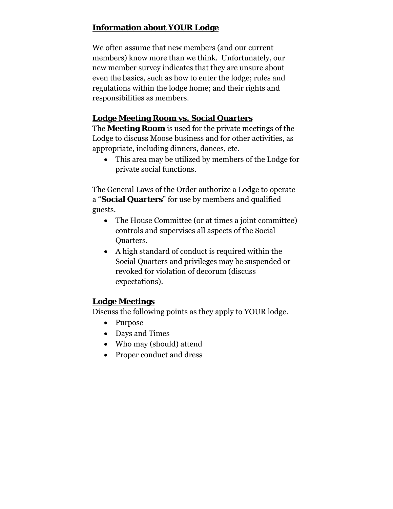# **Information about YOUR Lodge**

We often assume that new members (and our current members) know more than we think. Unfortunately, our new member survey indicates that they are unsure about even the basics, such as how to enter the lodge; rules and regulations within the lodge home; and their rights and responsibilities as members.

# **Lodge Meeting Room vs. Social Quarters**

The **Meeting Room** is used for the private meetings of the Lodge to discuss Moose business and for other activities, as appropriate, including dinners, dances, etc.

 This area may be utilized by members of the Lodge for private social functions.

The General Laws of the Order authorize a Lodge to operate a "**Social Quarters**" for use by members and qualified guests.

- The House Committee (or at times a joint committee) controls and supervises all aspects of the Social Quarters.
- A high standard of conduct is required within the Social Quarters and privileges may be suspended or revoked for violation of decorum (discuss expectations).

# **Lodge Meetings**

Discuss the following points as they apply to YOUR lodge.

- Purpose
- Days and Times
- Who may (should) attend
- Proper conduct and dress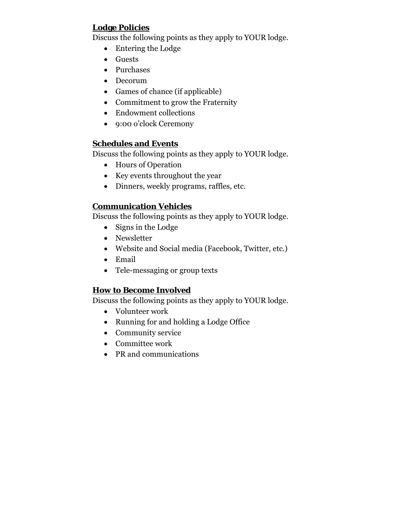# **Lodge Policies**

Discuss the following points as they apply to YOUR lodge.

- Entering the Lodge
- Guests
- Purchases
- Decorum
- Games of chance (if applicable)
- Commitment to grow the Fraternity
- Endowment collections
- 9:00 o'clock Ceremony

#### **Schedules and Events**

Discuss the following points as they apply to YOUR lodge.

- Hours of Operation
- Key events throughout the year
- Dinners, weekly programs, raffles, etc.

#### **Communication Vehicles**

Discuss the following points as they apply to YOUR lodge.

- $\bullet$  Signs in the Lodge
- Newsletter
- Website and Social media (Facebook, Twitter, etc.)
- Email
- Tele-messaging or group texts

#### **How to Become Involved**

Discuss the following points as they apply to YOUR lodge.

- Volunteer work
- Running for and holding a Lodge Office
- Community service
- Committee work
- PR and communications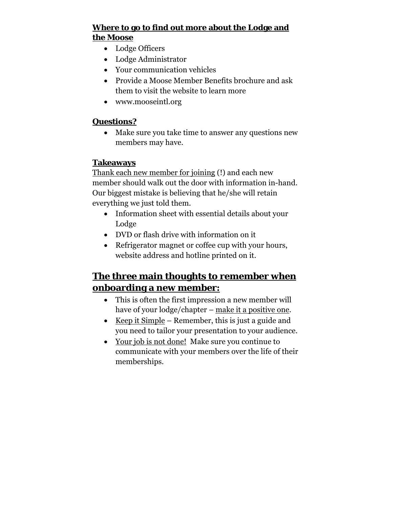#### **Where to go to find out more about the Lodge and the Moose**

- Lodge Officers
- Lodge Administrator
- Your communication vehicles
- Provide a Moose Member Benefits brochure and ask them to visit the website to learn more
- www.mooseintl.org

# **Questions?**

 Make sure you take time to answer any questions new members may have.

# **Takeaways**

Thank each new member for joining (!) and each new member should walk out the door with information in-hand. Our biggest mistake is believing that he/she will retain everything we just told them.

- Information sheet with essential details about your Lodge
- DVD or flash drive with information on it
- Refrigerator magnet or coffee cup with your hours, website address and hotline printed on it.

# **The three main thoughts to remember when onboarding a new member:**

- This is often the first impression a new member will have of your lodge/chapter – make it a positive one.
- Exerched  $\bullet$  Keep it Simple Remember, this is just a guide and you need to tailor your presentation to your audience.
- Your job is not done! Make sure you continue to communicate with your members over the life of their memberships.